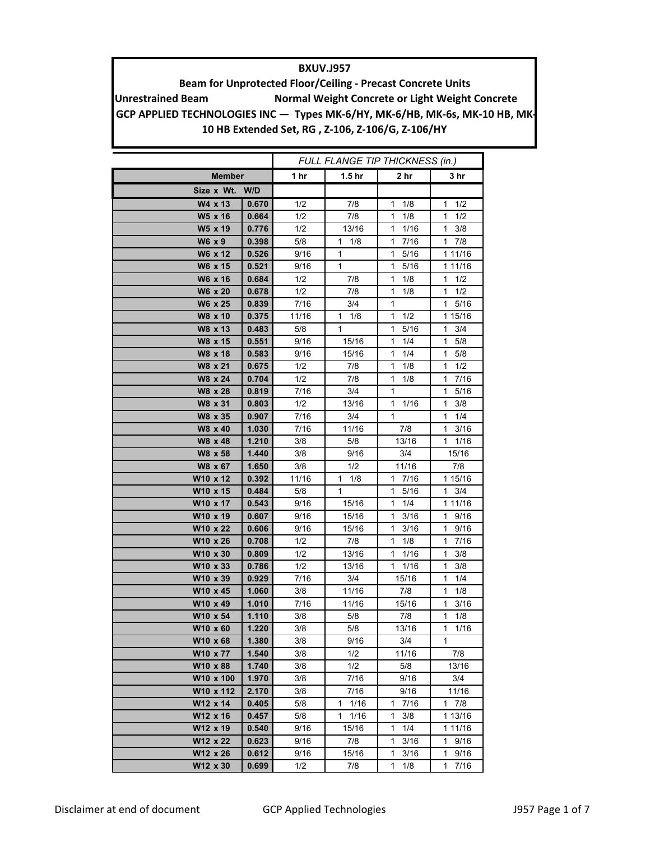## **BXUV.J957**

**Unrestrained Beam Normal Weight Concrete or Light Weight Concrete Beam for Unprotected Floor/Ceiling ‐ Precast Concrete Units** GCP APPLIED TECHNOLOGIES INC - Types MK-6/HY, MK-6/HB, MK-6s, MK-10 HB, MK-**10 HB Extended Set, RG , Z‐106, Z‐106/G, Z‐106/HY**

|                   |       | FULL FLANGE TIP THICKNESS (in.) |                      |                      |                      |
|-------------------|-------|---------------------------------|----------------------|----------------------|----------------------|
| <b>Member</b>     |       | 1 hr                            | 1.5 <sub>hr</sub>    | 2 hr                 | 3 hr                 |
| Size x Wt.<br>W/D |       |                                 |                      |                      |                      |
| W4 x 13           | 0.670 | 1/2                             | 7/8                  | 1/8<br>1             | 1/2<br>1             |
| W5 x 16           | 0.664 | 1/2                             | 7/8                  | 1/8<br>1             | 1/2<br>1             |
| W5 x 19           | 0.776 | 1/2                             | 13/16                | 1<br>1/16            | 1<br>3/8             |
| W6 x 9            | 0.398 | 5/8                             | 1<br>1/8             | 1<br>7/16            | 1<br>7/8             |
| W6 x 12           | 0.526 | 9/16                            | 1                    | 1<br>5/16            | 1 11/16              |
| W6 x 15           | 0.521 | 9/16                            | 1                    | $\mathbf{1}$<br>5/16 | 1 11/16              |
| W6 x 16           | 0.684 | 1/2                             | 7/8                  | 1<br>1/8             | 1/2<br>1             |
| W6 x 20           | 0.678 | 1/2                             | 7/8                  | 1<br>1/8             | 1/2<br>1             |
| W6 x 25           | 0.839 | 7/16                            | 3/4                  | 1                    | 5/16<br>1            |
| W8 x 10           | 0.375 | 11/16                           | 1/8<br>1             | $\mathbf{1}$<br>1/2  | 1 15/16              |
| W8 x 13           | 0.483 | 5/8                             | 1                    | 1<br>5/16            | 3/4<br>1             |
| W8 x 15           | 0.551 | 9/16                            | 15/16                | 1/4<br>1             | 1<br>5/8             |
| W8 x 18           | 0.583 | 9/16                            | 15/16                | 1/4<br>1             | 1<br>5/8             |
| W8 x 21           | 0.675 | 1/2                             | 7/8                  | 1<br>1/8             | 1<br>1/2             |
| W8 x 24           | 0.704 | 1/2                             | 7/8                  | 1<br>1/8             | 1<br>7/16            |
| W8 x 28           | 0.819 | 7/16                            | 3/4                  | 1                    | 1<br>5/16            |
| W8 x 31           | 0.803 | 1/2                             | 13/16                | 1/16<br>1            | 1<br>3/8             |
| W8 x 35           | 0.907 | 7/16                            | 3/4                  | $\mathbf{1}$         | 1<br>1/4             |
| W8 x 40           | 1.030 | 7/16                            | 11/16                | 7/8                  | 1<br>3/16            |
| W8 x 48           | 1.210 | 3/8                             | 5/8                  | 13/16                | 1<br>1/16            |
| W8 x 58           | 1.440 | 3/8                             | 9/16                 | 3/4                  | 15/16                |
| W8 x 67           | 1.650 | 3/8                             | 1/2                  | 11/16                | 7/8                  |
| W10 x 12          | 0.392 | 11/16                           | 1/8<br>1             | 1<br>7/16            | 1 15/16              |
| W10 x 15          | 0.484 | 5/8                             | 1                    | 5/16<br>1            | 1<br>3/4             |
| W10 x 17          | 0.543 | 9/16                            | 15/16                | 1/4<br>1             | 1 11/16              |
| W10 x 19          | 0.607 | 9/16                            | 15/16                | 3/16<br>1            | 9/16<br>1            |
| W10 x 22          | 0.606 | 9/16                            | 15/16                | 3/16<br>1            | 9/16<br>1            |
| W10 x 26          | 0.708 | 1/2                             | 7/8                  | 1<br>1/8             | 7/16<br>1            |
| W10 x 30          | 0.809 | 1/2                             | 13/16                | $\mathbf{1}$<br>1/16 | 3/8<br>1             |
| W10 x 33          | 0.786 | 1/2                             | 13/16                | 1/16<br>1            | 3/8<br>1             |
| W10 x 39          | 0.929 | 7/16                            | 3/4                  | 15/16                | 1/4<br>1             |
| W10 x 45          | 1.060 | 3/8                             | 11/16                | 7/8                  | 1/8<br>1             |
| W10 x 49          | 1.010 | 7/16                            | 11/16                | 15/16                | 3/16<br>1            |
| W10 x 54          | 1.110 | 3/8                             | 5/8                  | 7/8                  | 1/8<br>1             |
| W10 x 60          | 1.220 | 3/8                             | $\overline{5/8}$     | 13/16                | 1/16<br>1            |
| W10 x 68          | 1.380 | 3/8                             | 9/16                 | 3/4                  | 1                    |
| W10 x 77          | 1.540 | 3/8                             | 1/2                  | 11/16                | 7/8                  |
| W10 x 88          | 1.740 | 3/8                             | 1/2                  | 5/8                  | 13/16                |
| W10 x 100         | 1.970 | 3/8                             | 7/16                 | 9/16                 | 3/4                  |
| W10 x 112         | 2.170 | 3/8                             | 7/16                 | 9/16                 | 11/16                |
| W12 x 14          | 0.405 | 5/8                             | 1/16<br>$\mathbf{1}$ | 1<br>7/16            | $1 \t7/8$            |
| W12 x 16          | 0.457 | 5/8                             | $1 \t1/16$           | 3/8<br>1             | 1 13/16              |
| W12 x 19          | 0.540 | 9/16                            | 15/16                | 1<br>1/4             | 1 11/16              |
| W12 x 22          | 0.623 | 9/16                            | 7/8                  | 3/16<br>1            | 1 9/16               |
| W12 x 26          | 0.612 | 9/16                            | 15/16                | $\mathbf{1}$<br>3/16 | $\mathbf{1}$<br>9/16 |
| W12 x 30          | 0.699 | 1/2                             | 7/8                  | $\mathbf{1}$<br>1/8  | $\mathbf{1}$<br>7/16 |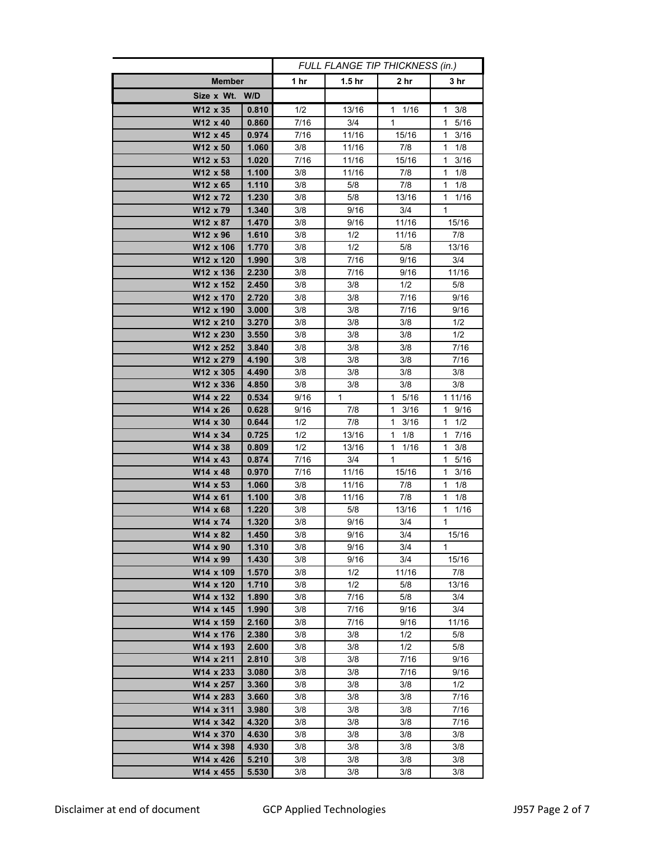|                      |                | FULL FLANGE TIP THICKNESS (in.) |                   |                      |                      |
|----------------------|----------------|---------------------------------|-------------------|----------------------|----------------------|
| <b>Member</b>        |                | 1 $hr$                          | 1.5 <sub>hr</sub> | 2 hr                 | 3 hr                 |
| Size x Wt. W/D       |                |                                 |                   |                      |                      |
| W12 x 35             | 0.810          | 1/2                             | 13/16             | 1/16<br>1            | 3/8<br>1             |
| W12 x 40             | 0.860          | 7/16                            | 3/4               | 1                    | $\mathbf{1}$<br>5/16 |
| W12 x 45             | 0.974          | 7/16                            | 11/16             | 15/16                | 3/16<br>1            |
| W12 x 50             | 1.060          | 3/8                             | 11/16             | 7/8                  | 1/8<br>1             |
| W12 x 53             | 1.020          | 7/16                            | 11/16             | 15/16                | 1<br>3/16            |
| W12 x 58             | 1.100          | 3/8                             | 11/16             | 7/8                  | 1<br>1/8             |
| W12 x 65             | 1.110          | $3/8$                           | 5/8               | 7/8                  | 1<br>1/8             |
| W12 x 72             | 1.230          | 3/8                             | 5/8               | 13/16                | 1<br>1/16            |
| W12 x 79             | 1.340          | 3/8                             | 9/16              | 3/4                  | 1                    |
| W12 x 87             | 1.470          | 3/8                             | 9/16              | 11/16                | 15/16                |
| W12 x 96             | 1.610          | 3/8                             | 1/2               | 11/16                | 7/8                  |
| W12 x 106            | 1.770          | 3/8                             | 1/2               | 5/8                  | 13/16                |
| W12 x 120            | 1.990          | 3/8                             | 7/16              | 9/16                 | 3/4                  |
| W12 x 136            | 2.230          | 3/8                             | 7/16              | 9/16                 | 11/16                |
| W12 x 152            | 2.450          | 3/8                             | 3/8               | 1/2                  | 5/8                  |
| W12 x 170            | 2.720          | 3/8                             | 3/8               | 7/16                 | 9/16                 |
| W12 x 190            | 3.000          | 3/8                             | 3/8               | 7/16                 | 9/16                 |
| W12 x 210            | 3.270          | 3/8                             | 3/8               | 3/8                  | 1/2                  |
| W12 x 230            | 3.550          | 3/8                             | 3/8               | 3/8                  | 1/2                  |
| W12 x 252            | 3.840          | 3/8                             | 3/8               | 3/8                  | 7/16                 |
| W12 x 279            | 4.190          | 3/8                             | 3/8               | 3/8                  | 7/16                 |
| W12 x 305            | 4.490          | 3/8                             | 3/8               | 3/8                  | 3/8                  |
| W12 x 336            | 4.850          | 3/8                             | 3/8               | 3/8                  | 3/8                  |
| W14 x 22             | 0.534          | 9/16                            | $\mathbf{1}$      | $\mathbf{1}$<br>5/16 | 1 11/16              |
| W14 x 26             | 0.628          | 9/16                            | 7/8               | 3/16<br>1            | 9/16<br>1            |
| W14 x 30             | 0.644          | 1/2                             | 7/8               | 3/16<br>1            | 1/2<br>1             |
| W14 x 34             | 0.725          | 1/2                             | 13/16             | 1<br>1/8             | 7/16<br>1            |
| W14 x 38             | 0.809          | 1/2                             | 13/16             | 1<br>1/16            | 3/8<br>1             |
| W14 x 43             | 0.874          | 7/16                            | 3/4               | 1                    | 5/16<br>1.           |
| W14 x 48             | 0.970          | 7/16                            | 11/16             | 15/16                | 1<br>3/16            |
| W14 x 53<br>W14 x 61 | 1.060<br>1.100 | 3/8<br>3/8                      | 11/16<br>11/16    | 7/8<br>7/8           | 1<br>1/8<br>1<br>1/8 |
| W14 x 68             | 1.220          | 3/8                             | 5/8               | 13/16                | 1<br>1/16            |
| W14 x 74             | 1.320          | 3/8                             | 9/16              | 3/4                  | 1                    |
| W14 x 82             |                | 3/8                             | 9/16              | 3/4                  |                      |
| W14 x 90             | 1.450<br>1.310 | 3/8                             | 9/16              | 3/4                  | 15/16<br>1           |
| W14 x 99             | 1.430          | 3/8                             | 9/16              | 3/4                  | 15/16                |
| W14 x 109            | 1.570          | 3/8                             | 1/2               | 11/16                | 7/8                  |
| W14 x 120            | 1.710          | 3/8                             | 1/2               | 5/8                  | 13/16                |
| W14 x 132            | 1.890          | 3/8                             | 7/16              | 5/8                  | 3/4                  |
| W14 x 145            | 1.990          | 3/8                             | 7/16              | 9/16                 | 3/4                  |
| W14 x 159            | 2.160          | 3/8                             | 7/16              | 9/16                 | 11/16                |
| W14 x 176            | 2.380          | 3/8                             | 3/8               | 1/2                  | 5/8                  |
| W14 x 193            | 2.600          | 3/8                             | 3/8               | 1/2                  | 5/8                  |
| W14 x 211            | 2.810          | 3/8                             | 3/8               | 7/16                 | 9/16                 |
| W14 x 233            | 3.080          | 3/8                             | 3/8               | 7/16                 | 9/16                 |
| W14 x 257            | 3.360          | 3/8                             | 3/8               | 3/8                  | 1/2                  |
| W14 x 283            | 3.660          | 3/8                             | 3/8               | 3/8                  | 7/16                 |
| W14 x 311            | 3.980          | 3/8                             | 3/8               | 3/8                  | 7/16                 |
| W14 x 342            | 4.320          | 3/8                             | 3/8               | 3/8                  | 7/16                 |
| W14 x 370            | 4.630          | 3/8                             | 3/8               | 3/8                  | 3/8                  |
| W14 x 398            | 4.930          | 3/8                             | 3/8               | 3/8                  | 3/8                  |
| W14 x 426            | 5.210          | 3/8                             | 3/8               | 3/8                  | 3/8                  |
| W14 x 455            | 5.530          | 3/8                             | 3/8               | 3/8                  | 3/8                  |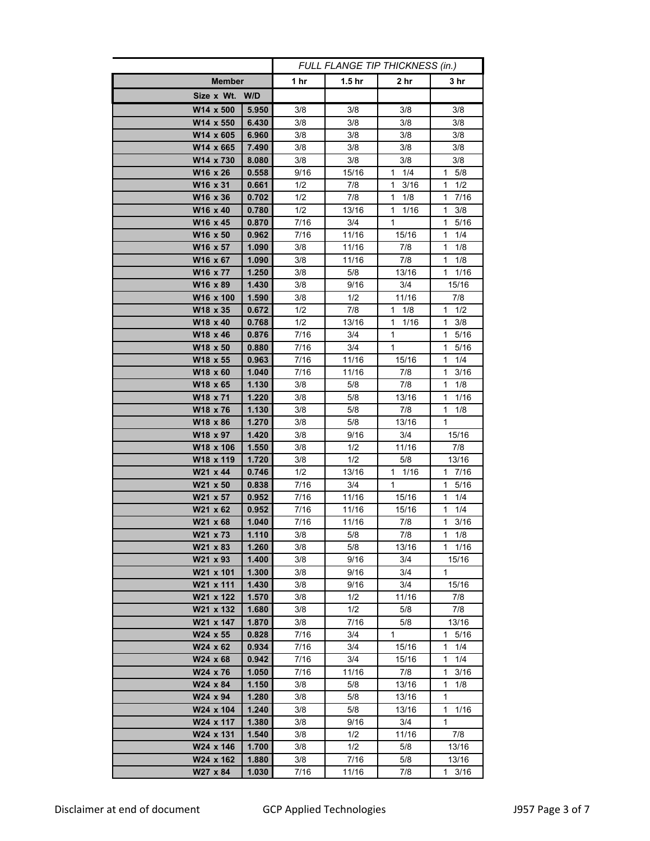|                       |                | FULL FLANGE TIP THICKNESS (in.) |                   |                      |                        |
|-----------------------|----------------|---------------------------------|-------------------|----------------------|------------------------|
| <b>Member</b>         |                | 1 hr                            | 1.5 <sub>hr</sub> | 2 hr                 | 3 hr                   |
| Size x Wt. W/D        |                |                                 |                   |                      |                        |
| W14 x 500             | 5.950          | 3/8                             | 3/8               | 3/8                  | 3/8                    |
| W14 x 550             | 6.430          | 3/8                             | 3/8               | 3/8                  | 3/8                    |
| W14 x 605             | 6.960          | 3/8                             | 3/8               | 3/8                  | 3/8                    |
| W14 x 665             | 7.490          | 3/8                             | 3/8               | 3/8                  | 3/8                    |
| W14 x 730             | 8.080          | 3/8                             | 3/8               | 3/8                  | 3/8                    |
| W16 x 26              | 0.558          | 9/16                            | 15/16             | 1/4<br>1             | 1 5/8                  |
| W16 x 31              | 0.661          | 1/2                             | 7/8               | 3/16<br>1            | 1/2<br>1               |
| W16 x 36              | 0.702          | 1/2                             | 7/8               | 1<br>1/8             | 1<br>7/16              |
| W16 x 40              | 0.780          | 1/2                             | 13/16             | 1<br>1/16            | 3/8<br>1               |
| W16 x 45              | 0.870          | 7/16                            | 3/4               | 1                    | 1<br>5/16              |
| W16 x 50              | 0.962          | 7/16                            | 11/16             | 15/16                | 1/4<br>1               |
| W16 x 57              | 1.090          | 3/8                             | 11/16             | 7/8                  | 1<br>1/8               |
| W16 x 67              | 1.090          | 3/8                             | 11/16             | 7/8                  | 1/8<br>1               |
| W16 x 77              | 1.250          | 3/8                             | 5/8               | 13/16                | 1<br>1/16              |
| W16 x 89              | 1.430          | 3/8                             | 9/16              | 3/4                  | 15/16                  |
| W16 x 100             | 1.590          | 3/8                             | 1/2               | 11/16                | 7/8                    |
| W18 x 35              | 0.672          | 1/2                             | 7/8               | $\mathbf{1}$<br>1/8  | $\mathbf{1}$<br>1/2    |
| W18 x 40              | 0.768          | 1/2                             | 13/16             | 1/16<br>$\mathbf{1}$ | 3/8<br>$\mathbf{1}$    |
| W18 x 46              | 0.876          | 7/16                            | 3/4               | 1                    | 5/16<br>1              |
| W18 x 50              | 0.880          | 7/16                            | 3/4               | $\mathbf{1}$         | $5/16$<br>$\mathbf{1}$ |
| W18 x 55              | 0.963          | 7/16                            | 11/16             | 15/16                | $\mathbf{1}$<br>1/4    |
| W18 x 60              | 1.040          | 7/16                            | 11/16             | 7/8                  | 3/16<br>1              |
| W18 x 65              | 1.130          | 3/8                             | 5/8               | 7/8                  | 1/8<br>1               |
| W18 x 71              | 1.220          | 3/8                             | 5/8               | 13/16                | 1/16<br>1              |
| W18 x 76<br>W18 x 86  | 1.130<br>1.270 | 3/8<br>3/8                      | 5/8<br>5/8        | 7/8<br>13/16         | 1/8<br>1<br>1          |
| W18 x 97              | 1.420          | 3/8                             | 9/16              | 3/4                  | 15/16                  |
| W18 x 106             | 1.550          | 3/8                             | 1/2               | 11/16                | 7/8                    |
| W18 x 119             | 1.720          | 3/8                             | 1/2               | 5/8                  | 13/16                  |
| W21 x 44              | 0.746          | 1/2                             | 13/16             | $1 \t1/16$           | $1 \t7/16$             |
| W21 x 50              | 0.838          | 7/16                            | 3/4               | 1                    | 1<br>5/16              |
| W21 x 57              | 0.952          | 7/16                            | 11/16             | 15/16                | 1/4<br>1               |
| W21 x 62              | 0.952          | 7/16                            | 11/16             | 15/16                | 1/4<br>1               |
| W21 x 68              | 1.040          | 7/16                            | 11/16             | 7/8                  | 1<br>3/16              |
| W21 x 73              | 1.110          | 3/8                             | 5/8               | $\frac{1}{8}$        | 1<br>1/8               |
| W21 x 83              | 1.260          | 3/8                             | 5/8               | 13/16                | 1<br>1/16              |
| W21 x 93              | 1.400          | 3/8                             | 9/16              | 3/4                  | 15/16                  |
| W21 x 101             | 1.300          | 3/8                             | 9/16              | 3/4                  | 1                      |
| W21 x 111             | 1.430          | 3/8                             | 9/16              | 3/4                  | 15/16                  |
| W21 x 122             | 1.570          | 3/8                             | 1/2               | 11/16                | 7/8                    |
| W21 x 132             | 1.680          | 3/8                             | 1/2               | 5/8                  | 7/8                    |
| W21 x 147             | 1.870          | 3/8                             | 7/16              | 5/8                  | 13/16                  |
| W24 x 55              | 0.828          | 7/16                            | 3/4               | $\mathbf{1}$         | 1 5/16                 |
| W24 x 62              | 0.934          | 7/16                            | 3/4               | 15/16                | 1<br>1/4               |
| W24 x 68              | 0.942          | 7/16                            | 3/4               | 15/16                | $\mathbf{1}$<br>1/4    |
| W24 x 76              | 1.050          | 7/16                            | 11/16             | 7/8                  | $\mathbf{1}$<br>3/16   |
| W24 x 84              | 1.150          | 3/8                             | 5/8               | 13/16                | 1<br>1/8<br>1          |
| W24 x 94<br>W24 x 104 | 1.280<br>1.240 | 3/8<br>3/8                      | 5/8<br>5/8        | 13/16<br>13/16       | 1/16<br>1              |
| W24 x 117             | 1.380          | 3/8                             | 9/16              | 3/4                  | 1                      |
| W24 x 131             | 1.540          | 3/8                             | 1/2               | 11/16                | 7/8                    |
| W24 x 146             | 1.700          | 3/8                             | 1/2               | 5/8                  | 13/16                  |
| W24 x 162             | 1.880          | 3/8                             | 7/16              | 5/8                  | 13/16                  |
| W27 x 84              | 1.030          | 7/16                            | 11/16             | 7/8                  | 1 3/16                 |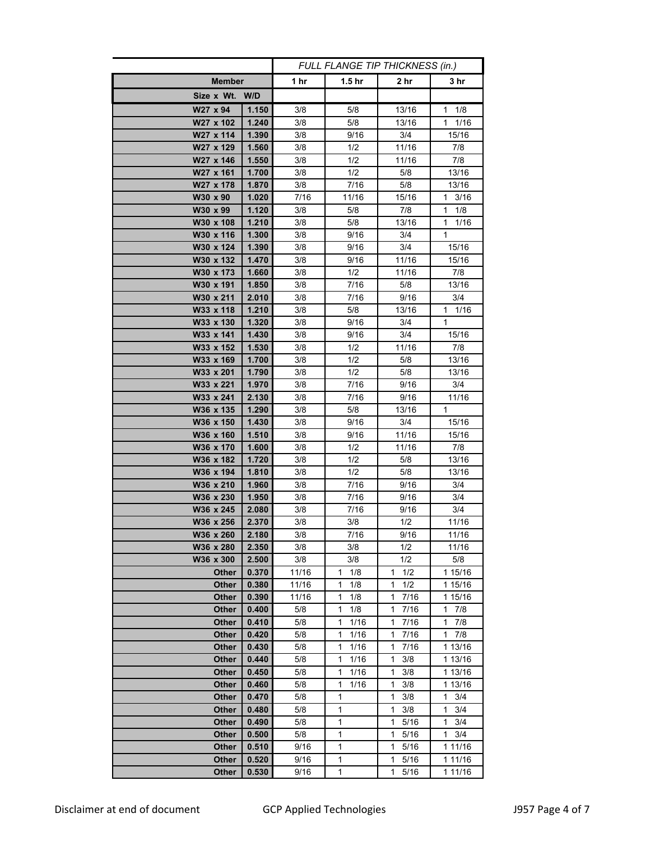|                |       | FULL FLANGE TIP THICKNESS (in.) |           |                      |                     |
|----------------|-------|---------------------------------|-----------|----------------------|---------------------|
| <b>Member</b>  |       | 1 $hr$                          | 1.5 hr    | 2 hr                 | 3 hr                |
| Size x Wt. W/D |       |                                 |           |                      |                     |
| W27 x 94       | 1.150 | 3/8                             | 5/8       | 13/16                | 1/8<br>1.           |
| W27 x 102      | 1.240 | 3/8                             | 5/8       | 13/16                | 1<br>1/16           |
| W27 x 114      | 1.390 | 3/8                             | 9/16      | 3/4                  | 15/16               |
| W27 x 129      | 1.560 | 3/8                             | 1/2       | 11/16                | 7/8                 |
| W27 x 146      | 1.550 | 3/8                             | 1/2       | 11/16                | 7/8                 |
| W27 x 161      | 1.700 | 3/8                             | 1/2       | 5/8                  | 13/16               |
| W27 x 178      | 1.870 | $3/8$                           | 7/16      | 5/8                  | 13/16               |
| W30 x 90       | 1.020 | 7/16                            | 11/16     | 15/16                | 1<br>3/16           |
| W30 x 99       | 1.120 | 3/8                             | 5/8       | 7/8                  | 1<br>1/8            |
| W30 x 108      | 1.210 | 3/8                             | 5/8       | 13/16                | 1<br>1/16           |
| W30 x 116      | 1.300 | 3/8                             | 9/16      | 3/4                  | 1                   |
| W30 x 124      | 1.390 | 3/8                             | 9/16      | 3/4                  | 15/16               |
|                |       |                                 |           |                      |                     |
| W30 x 132      | 1.470 | 3/8                             | 9/16      | 11/16                | 15/16               |
| W30 x 173      | 1.660 | 3/8                             | 1/2       | 11/16                | 7/8                 |
| W30 x 191      | 1.850 | 3/8                             | 7/16      | 5/8                  | 13/16               |
| W30 x 211      | 2.010 | 3/8                             | 7/16      | 9/16                 | 3/4                 |
| W33 x 118      | 1.210 | 3/8                             | 5/8       | 13/16                | 1 1/16              |
| W33 x 130      | 1.320 | 3/8                             | 9/16      | 3/4                  | $\mathbf{1}$        |
| W33 x 141      | 1.430 | 3/8                             | 9/16      | 3/4                  | 15/16               |
| W33 x 152      | 1.530 | 3/8                             | 1/2       | 11/16                | 7/8                 |
| W33 x 169      | 1.700 | 3/8                             | 1/2       | 5/8                  | 13/16               |
| W33 x 201      | 1.790 | 3/8                             | 1/2       | 5/8                  | 13/16               |
| W33 x 221      | 1.970 | 3/8                             | 7/16      | 9/16                 | 3/4                 |
| W33 x 241      | 2.130 | 3/8                             | 7/16      | 9/16                 | 11/16               |
| W36 x 135      | 1.290 | 3/8                             | 5/8       | 13/16                | 1                   |
| W36 x 150      | 1.430 | 3/8                             | 9/16      | 3/4                  | 15/16               |
| W36 x 160      | 1.510 | 3/8                             | 9/16      | 11/16                | 15/16               |
| W36 x 170      | 1.600 | 3/8                             | 1/2       | 11/16                | 7/8                 |
| W36 x 182      | 1.720 | 3/8                             | 1/2       | 5/8                  | 13/16               |
| W36 x 194      | 1.810 | 3/8                             | 1/2       | 5/8                  | 13/16               |
| W36 x 210      | 1.960 | 3/8                             | 7/16      | 9/16                 | 3/4                 |
| W36 x 230      | 1.950 | $3/8$                           | 7/16      | 9/16                 | 3/4                 |
| W36 x 245      | 2.080 | 3/8                             | 7/16      | 9/16                 | 3/4                 |
| W36 x 256      | 2.370 | 3/8                             | 3/8       | 1/2                  | 11/16               |
| W36 x 260      | 2.180 | 3/8                             | 7/16      | 9/16                 | 11/16               |
| W36 x 280      | 2.350 | 3/8                             | 3/8       | 1/2                  | 11/16               |
| W36 x 300      | 2.500 | 3/8                             | 3/8       | 1/2                  | 5/8                 |
| <b>Other</b>   | 0.370 | 11/16                           | 1/8<br>1  | 1/2<br>1             | 1 15/16             |
| <b>Other</b>   | 0.380 | 11/16                           | 1/8<br>1  | 1/2<br>1             | 1 15/16             |
| <b>Other</b>   | 0.390 | 11/16                           | 1<br>1/8  | 1<br>7/16            | 1 15/16             |
| <b>Other</b>   | 0.400 | 5/8                             | 1<br>1/8  | 7/16<br>1            | 1<br>7/8            |
| Other          | 0.410 | 5/8                             | 1<br>1/16 | 1<br>7/16            | 1<br>7/8            |
| Other          | 0.420 | 5/8                             | 1<br>1/16 | 1<br>7/16            | $1 \t7/8$           |
| Other          | 0.430 | 5/8                             | 1<br>1/16 | 1<br>7/16            | 1 13/16             |
| <b>Other</b>   | 0.440 | 5/8                             | 1<br>1/16 | 1<br>3/8             | 1 13/16             |
| Other          | 0.450 | 5/8                             | 1<br>1/16 | 1<br>3/8             | 1 13/16             |
| Other          | 0.460 | 5/8                             | 1<br>1/16 | 3/8<br>1             | 1 13/16             |
| <b>Other</b>   | 0.470 | 5/8                             | 1         | 3/8<br>1             | 1<br>3/4            |
| <b>Other</b>   | 0.480 | 5/8                             | 1         | 3/8<br>1             | $1 \t3/4$           |
| <b>Other</b>   | 0.490 | 5/8                             | 1         | 5/16<br>1            | 3/4<br>$\mathbf{1}$ |
| <b>Other</b>   | 0.500 | 5/8                             | 1         | 5/16<br>1            | 3/4<br>1            |
| <b>Other</b>   | 0.510 | 9/16                            | 1         | 5/16<br>1            | 1 11/16             |
| <b>Other</b>   | 0.520 | 9/16                            | 1         | 5/16<br>1            | 1 11/16             |
| <b>Other</b>   | 0.530 | 9/16                            | 1         | 5/16<br>$\mathbf{1}$ | 1 11/16             |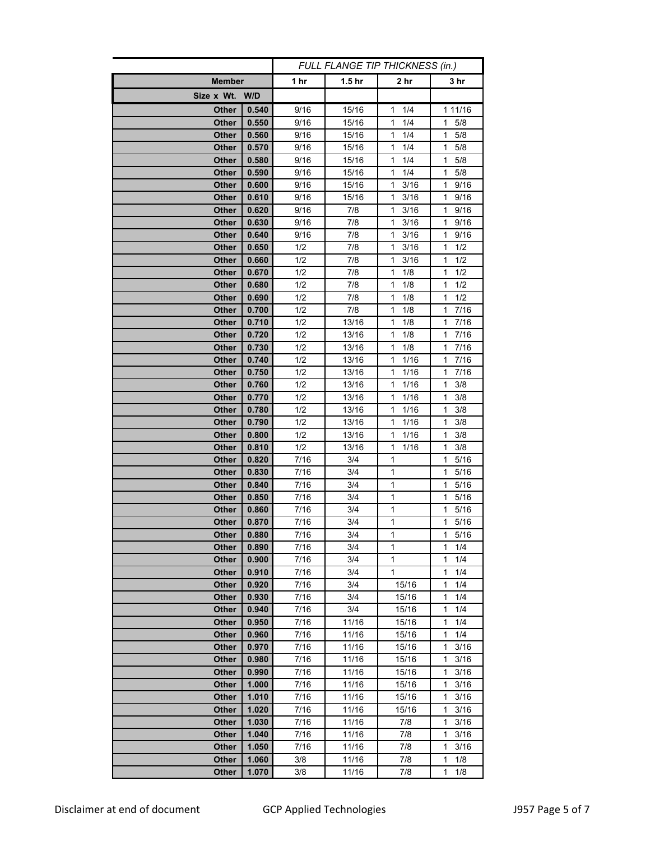|                       |                | FULL FLANGE TIP THICKNESS (in.) |                   |           |                        |
|-----------------------|----------------|---------------------------------|-------------------|-----------|------------------------|
| <b>Member</b>         |                | 1 hr                            | 1.5 <sub>hr</sub> | 2 hr      | 3 hr                   |
| Size x Wt. W/D        |                |                                 |                   |           |                        |
| Other                 | 0.540          | 9/16                            | 15/16             | 1/4<br>1  | 1 11/16                |
| Other                 | 0.550          | 9/16                            | 15/16             | 1/4<br>1  | $\mathbf{1}$<br>5/8    |
| Other                 | 0.560          | 9/16                            | 15/16             | 1<br>1/4  | 5/8<br>1.              |
| <b>Other</b>          | 0.570          | 9/16                            | 15/16             | 1<br>1/4  | 5/8<br>1.              |
| Other                 | 0.580          | 9/16                            | 15/16             | 1<br>1/4  | 1<br>5/8               |
| Other                 | 0.590          | 9/16                            | 15/16             | 1<br>1/4  | 5/8<br>1               |
| Other                 | 0.600          | 9/16                            | 15/16             | 1<br>3/16 | 9/16<br>1              |
| Other                 | 0.610          | 9/16                            | 15/16             | 3/16<br>1 | 1<br>9/16              |
| Other                 | 0.620          | 9/16                            | 7/8               | 3/16<br>1 | 1<br>9/16              |
| Other                 | 0.630          | 9/16                            | 7/8               | 3/16<br>1 | 9/16<br>1              |
| Other                 | 0.640          | 9/16                            | 7/8               | 3/16<br>1 | 9/16<br>1              |
| <b>Other</b>          | 0.650          | 1/2                             | 7/8               | 3/16<br>1 | $\overline{1}/2$<br>1  |
| Other                 | 0.660          | 1/2                             | 7/8               | 1<br>3/16 | 1/2<br>1               |
| Other                 | 0.670          | 1/2                             | 7/8               | 1<br>1/8  | 1<br>1/2               |
| Other                 | 0.680          | 1/2                             | 7/8               | 1<br>1/8  | 1<br>1/2               |
| Other                 | 0.690          | 1/2                             | 7/8               | 1<br>1/8  | 1<br>1/2               |
| <b>Other</b>          | 0.700          | 1/2                             | 7/8               | 1<br>1/8  | 1<br>7/16              |
| <b>Other</b>          | 0.710          | 1/2                             | 13/16             | 1<br>1/8  | $\mathbf{1}$<br>7/16   |
| <b>Other</b>          | 0.720          | 1/2                             | 13/16             | 1<br>1/8  | $7/16$<br>1            |
| Other                 | 0.730          | 1/2                             | 13/16             | 1<br>1/8  | $\mathbf{1}$<br>7/16   |
| Other                 | 0.740          | 1/2                             | 13/16             | 1<br>1/16 | 7/16<br>$\mathbf{1}$   |
| Other                 | 0.750          | 1/2                             | 13/16             | 1/16<br>1 | 7/16<br>1              |
| Other                 | 0.760          | 1/2                             | 13/16             | 1/16<br>1 | 3/8<br>1               |
| Other                 | 0.770          | 1/2                             | 13/16             | 1/16<br>1 | 3/8<br>1               |
| Other                 | 0.780          | 1/2                             | 13/16             | 1/16<br>1 | 3/8<br>1               |
| Other                 | 0.790          | 1/2                             | 13/16             | 1/16<br>1 | 3/8<br>1               |
| Other                 | 0.800          | 1/2                             | 13/16             | 1<br>1/16 | 3/8<br>1               |
| Other                 | 0.810          | 1/2                             | 13/16             | 1<br>1/16 | 3/8<br>1               |
| <b>Other</b>          | 0.820          | 7/16                            | 3/4               | 1         | 5/16<br>1.             |
| <b>Other</b>          | 0.830          | 7/16                            | 3/4               | 1         | $\mathbf{1}$<br>5/16   |
| <b>Other</b><br>Other | 0.840<br>0.850 | 7/16<br>7/16                    | 3/4<br>3/4        | 1<br>1    | 1<br>5/16<br>5/16<br>1 |
| Other                 | 0.860          | 7/16                            | 3/4               | 1         | 1<br>5/16              |
| Other                 | 0.870          | 7/16                            | 3/4               | 1         | $\mathbf{1}$<br>5/16   |
| Other                 | 0.880          | /116                            | 3/4               | 1         | 1<br>5/16              |
| Other                 | 0.890          | 7/16                            | 3/4               | 1         | 1<br>1/4               |
| <b>Other</b>          | 0.900          | 7/16                            | 3/4               | 1         | 1/4<br>1               |
| Other                 | 0.910          | 7/16                            | 3/4               | 1         | 1/4<br>1               |
| <b>Other</b>          | 0.920          | 7/16                            | 3/4               | 15/16     | 1/4<br>1               |
| <b>Other</b>          | 0.930          | 7/16                            | 3/4               | 15/16     | 1/4<br>1               |
| <b>Other</b>          | 0.940          | 7/16                            | 3/4               | 15/16     | 1<br>1/4               |
| Other                 | 0.950          | 7/16                            | 11/16             | 15/16     | 1<br>1/4               |
| Other                 | 0.960          | 7/16                            | 11/16             | 15/16     | 1<br>1/4               |
| <b>Other</b>          | 0.970          | 7/16                            | 11/16             | 15/16     | 3/16<br>1              |
| <b>Other</b>          | 0.980          | 7/16                            | 11/16             | 15/16     | 1<br>3/16              |
| <b>Other</b>          | 0.990          | 7/16                            | 11/16             | 15/16     | $\mathbf{1}$<br>3/16   |
| <b>Other</b>          | 1.000          | 7/16                            | 11/16             | 15/16     | 3/16<br>1              |
| <b>Other</b>          | 1.010          | 7/16                            | 11/16             | 15/16     | 1<br>3/16              |
| <b>Other</b>          | 1.020          | 7/16                            | 11/16             | 15/16     | 1<br>3/16              |
| Other                 | 1.030          | 7/16                            | 11/16             | 7/8       | 3/16<br>1              |
| <b>Other</b>          | 1.040          | 7/16                            | 11/16             | 7/8       | 1<br>3/16              |
| <b>Other</b>          | 1.050          | 7/16                            | 11/16             | 7/8       | 3/16<br>1              |
| <b>Other</b>          | 1.060          | 3/8                             | 11/16             | 7/8       | 1/8<br>1               |
| <b>Other</b>          | 1.070          | 3/8                             | 11/16             | 7/8       | 1<br>1/8               |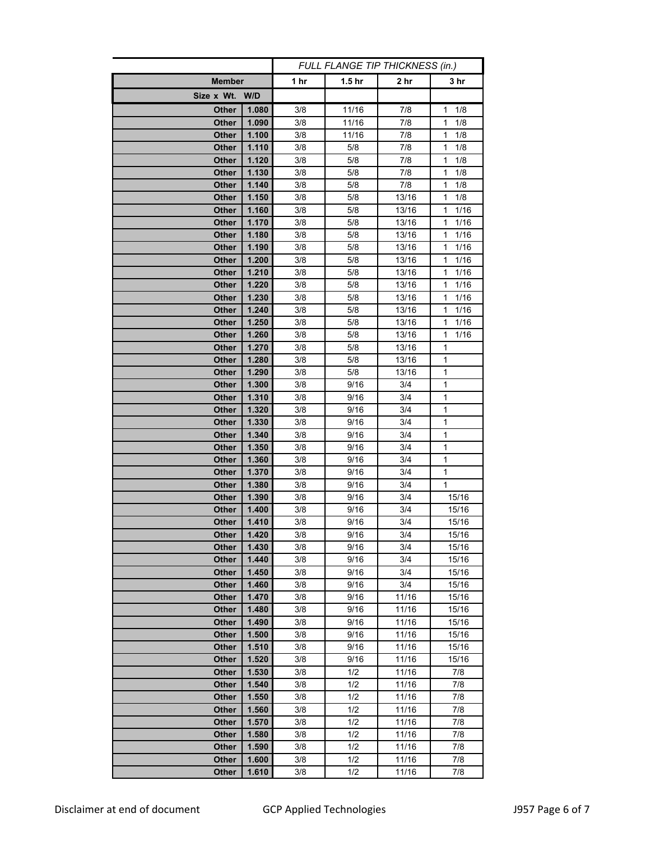|                              |                | FULL FLANGE TIP THICKNESS (in.) |                   |            |                     |
|------------------------------|----------------|---------------------------------|-------------------|------------|---------------------|
| <b>Member</b>                |                | 1 hr                            | 1.5 <sub>hr</sub> | 2 hr       | 3 hr                |
| Size x Wt. W/D               |                |                                 |                   |            |                     |
| Other                        | 1.080          | 3/8                             | 11/16             | 7/8        | 1/8<br>1            |
| Other                        | 1.090          | 3/8                             | 11/16             | 7/8        | $\mathbf{1}$<br>1/8 |
| Other                        | 1.100          | 3/8                             | 11/16             | 7/8        | 1<br>1/8            |
| <b>Other</b>                 | 1.110          | 3/8                             | 5/8               | 7/8        | $\mathbf{1}$<br>1/8 |
| <b>Other</b>                 | 1.120          | 3/8                             | 5/8               | 7/8        | 1<br>1/8            |
| <b>Other</b>                 | 1.130          | 3/8                             | 5/8               | 7/8        | 1<br>1/8            |
| <b>Other</b>                 | 1.140          | 3/8                             | 5/8               | 7/8        | 1<br>1/8            |
| <b>Other</b>                 | 1.150          | 3/8                             | 5/8               | 13/16      | 1<br>1/8            |
| <b>Other</b>                 | 1.160          | 3/8                             | 5/8               | 13/16      | 1/16<br>1           |
| <b>Other</b>                 | 1.170          | 3/8                             | 5/8               | 13/16      | 1/16<br>1           |
| <b>Other</b>                 | 1.180          | 3/8                             | 5/8               | 13/16      | 1<br>1/16           |
| <b>Other</b>                 | 1.190          | 3/8                             | 5/8               | 13/16      | 1<br>1/16           |
| Other                        | 1.200          | 3/8                             | 5/8               | 13/16      | 1/16<br>1           |
| <b>Other</b>                 | 1.210          | 3/8                             | 5/8               | 13/16      | 1<br>1/16           |
| <b>Other</b>                 | 1.220          | 3/8                             | 5/8               | 13/16      | 1<br>1/16           |
| <b>Other</b>                 | 1.230          | 3/8                             | 5/8               | 13/16      | 1<br>1/16           |
| <b>Other</b>                 | 1.240          | 3/8                             | 5/8               | 13/16      | 1<br>1/16           |
| <b>Other</b>                 | 1.250          | 3/8                             | 5/8               | 13/16      | 1<br>1/16           |
| <b>Other</b>                 | 1.260          | 3/8                             | 5/8               | 13/16      | 1<br>1/16           |
| <b>Other</b>                 | 1.270          | 3/8                             | 5/8               | 13/16      | $\mathbf{1}$        |
| <b>Other</b>                 | 1.280          | 3/8                             | 5/8               | 13/16      | 1                   |
| <b>Other</b>                 | 1.290          | 3/8                             | 5/8               | 13/16      | 1                   |
| Other                        | 1.300          | 3/8                             | 9/16              | 3/4        | 1                   |
| <b>Other</b>                 | 1.310          | 3/8                             | 9/16              | 3/4        | 1                   |
| <b>Other</b>                 | 1.320          | 3/8                             | 9/16              | 3/4        | 1                   |
| Other                        | 1.330          | 3/8                             | 9/16              | 3/4        | 1                   |
| <b>Other</b>                 | 1.340          | 3/8                             | 9/16              | 3/4        | $\mathbf{1}$        |
| Other                        | 1.350          | 3/8                             | 9/16              | 3/4        | 1                   |
| <b>Other</b>                 | 1.360          | 3/8                             | 9/16              | 3/4        | 1                   |
| <b>Other</b>                 | 1.370          | 3/8                             | 9/16              | 3/4        | 1                   |
| <b>Other</b><br><b>Other</b> | 1.380<br>1.390 | 3/8<br>3/8                      | 9/16<br>9/16      | 3/4<br>3/4 | 1<br>15/16          |
| <b>Other</b>                 | 1.400          | 3/8                             | 9/16              | 3/4        | 15/16               |
| <b>Other</b>                 | 1.410          | 3/8                             | 9/16              | 3/4        | 15/16               |
| Other                        | 1.420          | 3/8                             | 9/16              | 3/4        | 15/16               |
| Other                        | 1.430          | 3/8                             | 9/16              | 3/4        | 15/16               |
| <b>Other</b>                 | 1.440          | 3/8                             | 9/16              | 3/4        | 15/16               |
| <b>Other</b>                 | 1.450          | 3/8                             | 9/16              | 3/4        | 15/16               |
| <b>Other</b>                 | 1.460          | 3/8                             | 9/16              | 3/4        | 15/16               |
| <b>Other</b>                 | 1.470          | 3/8                             | 9/16              | 11/16      | 15/16               |
| <b>Other</b>                 | 1.480          | 3/8                             | 9/16              | 11/16      | 15/16               |
| <b>Other</b>                 | 1.490          | 3/8                             | 9/16              | 11/16      | 15/16               |
| <b>Other</b>                 | 1.500          | 3/8                             | 9/16              | 11/16      | 15/16               |
| <b>Other</b>                 | 1.510          | 3/8                             | 9/16              | 11/16      | 15/16               |
| <b>Other</b>                 | 1.520          | 3/8                             | 9/16              | 11/16      | 15/16               |
| <b>Other</b>                 | 1.530          | 3/8                             | 1/2               | 11/16      | 7/8                 |
| <b>Other</b>                 | 1.540          | 3/8                             | 1/2               | 11/16      | 7/8                 |
| <b>Other</b>                 | 1.550          | 3/8                             | 1/2               | 11/16      | 7/8                 |
| <b>Other</b>                 | 1.560          | 3/8                             | 1/2               | 11/16      | $7/8$               |
| <b>Other</b>                 | 1.570          | 3/8                             | 1/2               | 11/16      | 7/8                 |
| Other                        | 1.580          | 3/8                             | 1/2               | 11/16      | 7/8                 |
| <b>Other</b>                 | 1.590          | 3/8                             | 1/2               | 11/16      | 7/8                 |
| <b>Other</b>                 | 1.600          | 3/8                             | 1/2               | 11/16      | 7/8                 |
| <b>Other</b>                 | 1.610          | 3/8                             | 1/2               | 11/16      | 7/8                 |